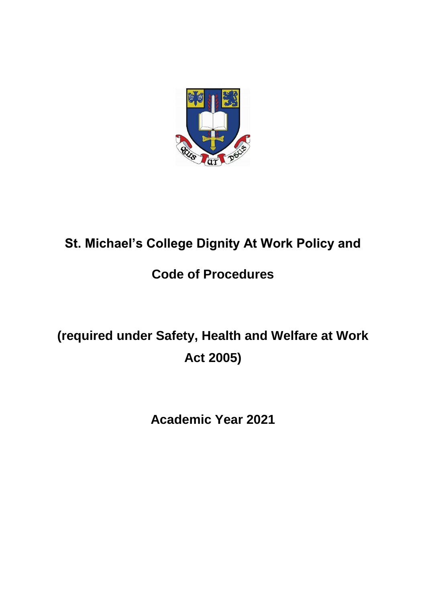

## **St. Michael's College Dignity At Work Policy and**

## **Code of Procedures**

## **(required under Safety, Health and Welfare at Work Act 2005)**

**Academic Year 2021**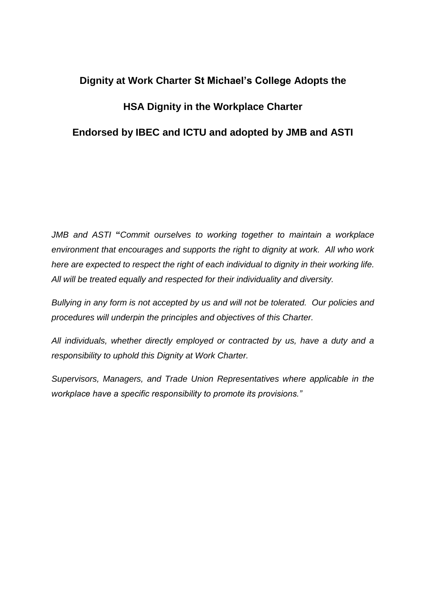# **Dignity at Work Charter St Michael's College Adopts the HSA Dignity in the Workplace Charter Endorsed by IBEC and ICTU and adopted by JMB and ASTI**

*JMB and ASTI* **"***Commit ourselves to working together to maintain a workplace environment that encourages and supports the right to dignity at work. All who work here are expected to respect the right of each individual to dignity in their working life. All will be treated equally and respected for their individuality and diversity.*

*Bullying in any form is not accepted by us and will not be tolerated. Our policies and procedures will underpin the principles and objectives of this Charter.*

*All individuals, whether directly employed or contracted by us, have a duty and a responsibility to uphold this Dignity at Work Charter.*

*Supervisors, Managers, and Trade Union Representatives where applicable in the workplace have a specific responsibility to promote its provisions."*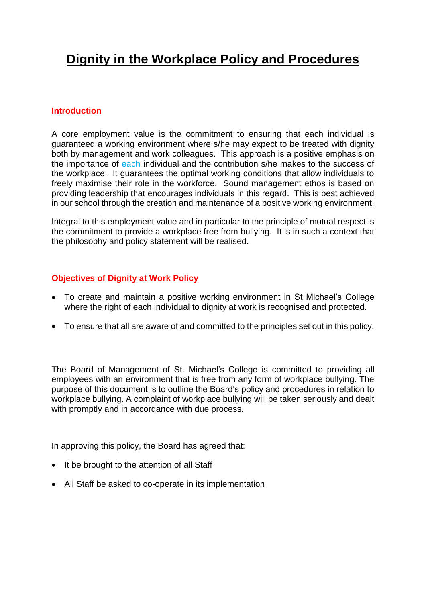#### **Introduction**

A core employment value is the commitment to ensuring that each individual is guaranteed a working environment where s/he may expect to be treated with dignity both by management and work colleagues. This approach is a positive emphasis on the importance of each individual and the contribution s/he makes to the success of the workplace. It guarantees the optimal working conditions that allow individuals to freely maximise their role in the workforce. Sound management ethos is based on providing leadership that encourages individuals in this regard. This is best achieved in our school through the creation and maintenance of a positive working environment.

Integral to this employment value and in particular to the principle of mutual respect is the commitment to provide a workplace free from bullying. It is in such a context that the philosophy and policy statement will be realised.

#### **Objectives of Dignity at Work Policy**

- To create and maintain a positive working environment in St Michael's College where the right of each individual to dignity at work is recognised and protected.
- To ensure that all are aware of and committed to the principles set out in this policy.

The Board of Management of St. Michael's College is committed to providing all employees with an environment that is free from any form of workplace bullying. The purpose of this document is to outline the Board's policy and procedures in relation to workplace bullying. A complaint of workplace bullying will be taken seriously and dealt with promptly and in accordance with due process.

In approving this policy, the Board has agreed that:

- It be brought to the attention of all Staff
- All Staff be asked to co-operate in its implementation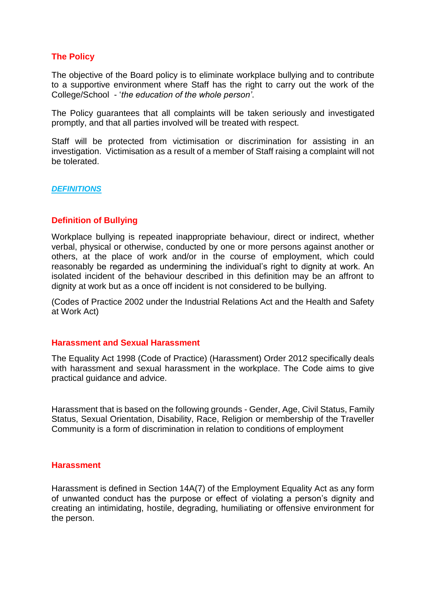#### **The Policy**

The objective of the Board policy is to eliminate workplace bullying and to contribute to a supportive environment where Staff has the right to carry out the work of the College/School - '*the education of the whole person'*.

The Policy guarantees that all complaints will be taken seriously and investigated promptly, and that all parties involved will be treated with respect.

Staff will be protected from victimisation or discrimination for assisting in an investigation. Victimisation as a result of a member of Staff raising a complaint will not be tolerated.

#### *DEFINITIONS*

#### **Definition of Bullying**

Workplace bullying is repeated inappropriate behaviour, direct or indirect, whether verbal, physical or otherwise, conducted by one or more persons against another or others, at the place of work and/or in the course of employment, which could reasonably be regarded as undermining the individual's right to dignity at work. An isolated incident of the behaviour described in this definition may be an affront to dignity at work but as a once off incident is not considered to be bullying.

(Codes of Practice 2002 under the Industrial Relations Act and the Health and Safety at Work Act)

#### **Harassment and Sexual Harassment**

The Equality Act 1998 (Code of Practice) (Harassment) Order 2012 specifically deals with harassment and sexual harassment in the workplace. The Code aims to give practical guidance and advice.

Harassment that is based on the following grounds - Gender, Age, Civil Status, Family Status, Sexual Orientation, Disability, Race, Religion or membership of the Traveller Community is a form of discrimination in relation to conditions of employment

#### **Harassment**

Harassment is defined in Section 14A(7) of the Employment Equality Act as any form of unwanted conduct has the purpose or effect of violating a person's dignity and creating an intimidating, hostile, degrading, humiliating or offensive environment for the person.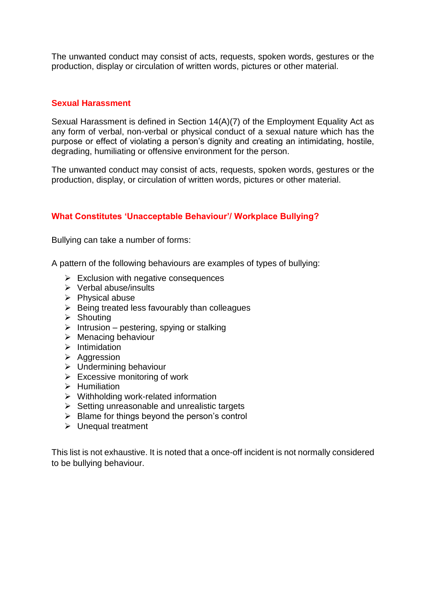The unwanted conduct may consist of acts, requests, spoken words, gestures or the production, display or circulation of written words, pictures or other material.

#### **Sexual Harassment**

Sexual Harassment is defined in Section 14(A)(7) of the Employment Equality Act as any form of verbal, non-verbal or physical conduct of a sexual nature which has the purpose or effect of violating a person's dignity and creating an intimidating, hostile, degrading, humiliating or offensive environment for the person.

The unwanted conduct may consist of acts, requests, spoken words, gestures or the production, display, or circulation of written words, pictures or other material.

#### **What Constitutes 'Unacceptable Behaviour'/ Workplace Bullying?**

Bullying can take a number of forms:

A pattern of the following behaviours are examples of types of bullying:

- $\triangleright$  Exclusion with negative consequences
- $\triangleright$  Verbal abuse/insults
- $\triangleright$  Physical abuse
- $\triangleright$  Being treated less favourably than colleagues
- $\triangleright$  Shouting
- $\triangleright$  Intrusion pestering, spying or stalking
- $\triangleright$  Menacing behaviour
- $\triangleright$  Intimidation
- $\triangleright$  Aggression
- > Undermining behaviour
- $\triangleright$  Excessive monitoring of work
- $\triangleright$  Humiliation
- $\triangleright$  Withholding work-related information
- $\triangleright$  Setting unreasonable and unrealistic targets
- $\triangleright$  Blame for things beyond the person's control
- $\triangleright$  Unequal treatment

This list is not exhaustive. It is noted that a once-off incident is not normally considered to be bullying behaviour.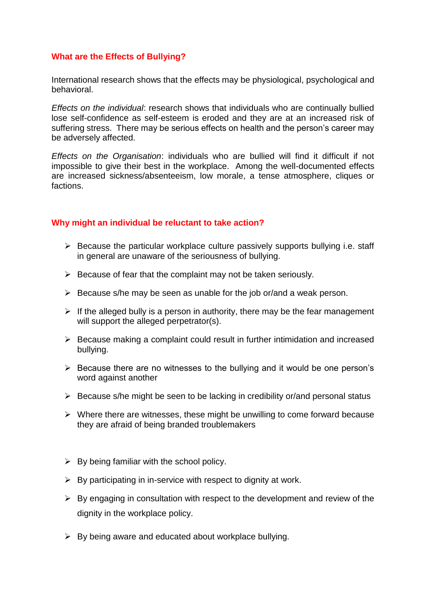#### **What are the Effects of Bullying?**

International research shows that the effects may be physiological, psychological and behavioral.

*Effects on the individual*: research shows that individuals who are continually bullied lose self-confidence as self-esteem is eroded and they are at an increased risk of suffering stress. There may be serious effects on health and the person's career may be adversely affected.

*Effects on the Organisation*: individuals who are bullied will find it difficult if not impossible to give their best in the workplace. Among the well-documented effects are increased sickness/absenteeism, low morale, a tense atmosphere, cliques or factions.

#### **Why might an individual be reluctant to take action?**

- $\triangleright$  Because the particular workplace culture passively supports bullying i.e. staff in general are unaware of the seriousness of bullying.
- $\triangleright$  Because of fear that the complaint may not be taken seriously.
- $\triangleright$  Because s/he may be seen as unable for the job or/and a weak person.
- $\triangleright$  If the alleged bully is a person in authority, there may be the fear management will support the alleged perpetrator(s).
- $\triangleright$  Because making a complaint could result in further intimidation and increased bullying.
- $\triangleright$  Because there are no witnesses to the bullying and it would be one person's word against another
- $\triangleright$  Because s/he might be seen to be lacking in credibility or/and personal status
- $\triangleright$  Where there are witnesses, these might be unwilling to come forward because they are afraid of being branded troublemakers
- $\triangleright$  By being familiar with the school policy.
- $\triangleright$  By participating in in-service with respect to dignity at work.
- $\triangleright$  By engaging in consultation with respect to the development and review of the dignity in the workplace policy.
- $\triangleright$  By being aware and educated about workplace bullying.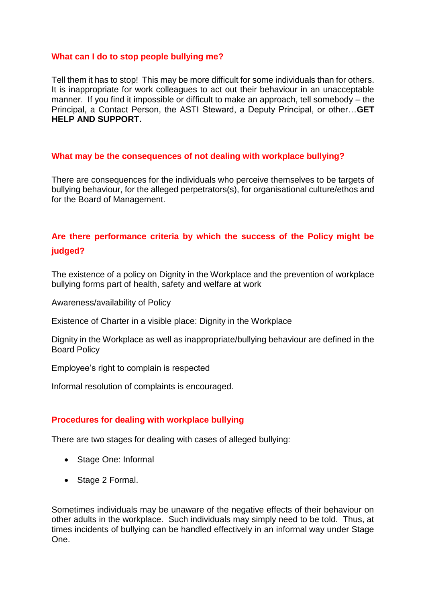#### **What can I do to stop people bullying me?**

Tell them it has to stop! This may be more difficult for some individuals than for others. It is inappropriate for work colleagues to act out their behaviour in an unacceptable manner. If you find it impossible or difficult to make an approach, tell somebody – the Principal, a Contact Person, the ASTI Steward, a Deputy Principal, or other…**GET HELP AND SUPPORT.**

#### **What may be the consequences of not dealing with workplace bullying?**

There are consequences for the individuals who perceive themselves to be targets of bullying behaviour, for the alleged perpetrators(s), for organisational culture/ethos and for the Board of Management.

### **Are there performance criteria by which the success of the Policy might be judged?**

The existence of a policy on Dignity in the Workplace and the prevention of workplace bullying forms part of health, safety and welfare at work

Awareness/availability of Policy

Existence of Charter in a visible place: Dignity in the Workplace

Dignity in the Workplace as well as inappropriate/bullying behaviour are defined in the Board Policy

Employee's right to complain is respected

Informal resolution of complaints is encouraged.

#### **Procedures for dealing with workplace bullying**

There are two stages for dealing with cases of alleged bullying:

- Stage One: Informal
- Stage 2 Formal.

Sometimes individuals may be unaware of the negative effects of their behaviour on other adults in the workplace. Such individuals may simply need to be told. Thus, at times incidents of bullying can be handled effectively in an informal way under Stage One.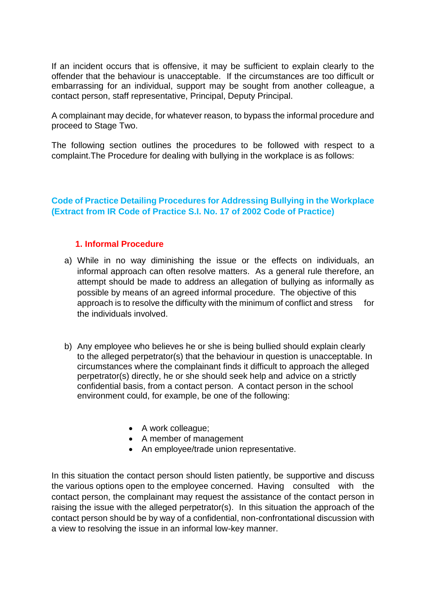If an incident occurs that is offensive, it may be sufficient to explain clearly to the offender that the behaviour is unacceptable. If the circumstances are too difficult or embarrassing for an individual, support may be sought from another colleague, a contact person, staff representative, Principal, Deputy Principal.

A complainant may decide, for whatever reason, to bypass the informal procedure and proceed to Stage Two.

The following section outlines the procedures to be followed with respect to a complaint.The Procedure for dealing with bullying in the workplace is as follows:

#### **Code of Practice Detailing Procedures for Addressing Bullying in the Workplace (Extract from IR Code of Practice S.I. No. 17 of 2002 Code of Practice)**

#### **1. Informal Procedure**

- a) While in no way diminishing the issue or the effects on individuals, an informal approach can often resolve matters. As a general rule therefore, an attempt should be made to address an allegation of bullying as informally as possible by means of an agreed informal procedure. The objective of this approach is to resolve the difficulty with the minimum of conflict and stress for the individuals involved.
- b) Any employee who believes he or she is being bullied should explain clearly to the alleged perpetrator(s) that the behaviour in question is unacceptable. In circumstances where the complainant finds it difficult to approach the alleged perpetrator(s) directly, he or she should seek help and advice on a strictly confidential basis, from a contact person. A contact person in the school environment could, for example, be one of the following:
	- A work colleague;
	- A member of management
	- An employee/trade union representative.

In this situation the contact person should listen patiently, be supportive and discuss the various options open to the employee concerned. Having consulted with the contact person, the complainant may request the assistance of the contact person in raising the issue with the alleged perpetrator(s). In this situation the approach of the contact person should be by way of a confidential, non-confrontational discussion with a view to resolving the issue in an informal low-key manner.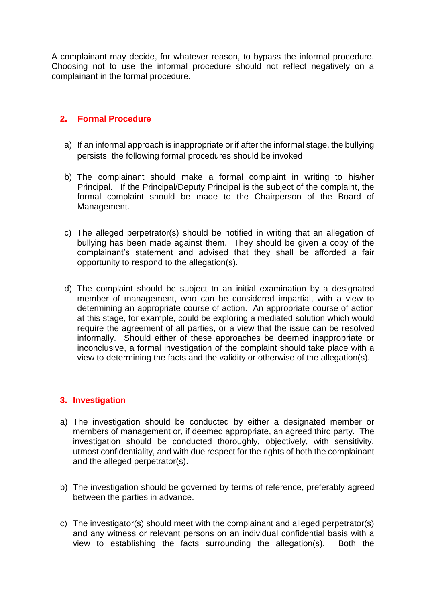A complainant may decide, for whatever reason, to bypass the informal procedure. Choosing not to use the informal procedure should not reflect negatively on a complainant in the formal procedure.

#### **2. Formal Procedure**

- a) If an informal approach is inappropriate or if after the informal stage, the bullying persists, the following formal procedures should be invoked
- b) The complainant should make a formal complaint in writing to his/her Principal. If the Principal/Deputy Principal is the subject of the complaint, the formal complaint should be made to the Chairperson of the Board of Management.
- c) The alleged perpetrator(s) should be notified in writing that an allegation of bullying has been made against them. They should be given a copy of the complainant's statement and advised that they shall be afforded a fair opportunity to respond to the allegation(s).
- d) The complaint should be subject to an initial examination by a designated member of management, who can be considered impartial, with a view to determining an appropriate course of action. An appropriate course of action at this stage, for example, could be exploring a mediated solution which would require the agreement of all parties, or a view that the issue can be resolved informally. Should either of these approaches be deemed inappropriate or inconclusive, a formal investigation of the complaint should take place with a view to determining the facts and the validity or otherwise of the allegation(s).

#### **3. Investigation**

- a) The investigation should be conducted by either a designated member or members of management or, if deemed appropriate, an agreed third party. The investigation should be conducted thoroughly, objectively, with sensitivity, utmost confidentiality, and with due respect for the rights of both the complainant and the alleged perpetrator(s).
- b) The investigation should be governed by terms of reference, preferably agreed between the parties in advance.
- c) The investigator(s) should meet with the complainant and alleged perpetrator(s) and any witness or relevant persons on an individual confidential basis with a view to establishing the facts surrounding the allegation(s). Both the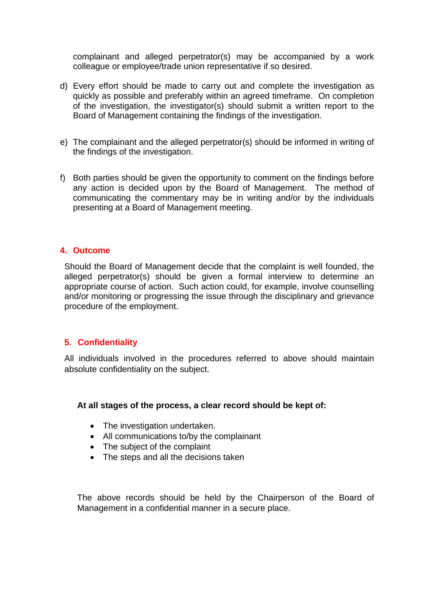complainant and alleged perpetrator(s) may be accompanied by a work colleague or employee/trade union representative if so desired.

- d) Every effort should be made to carry out and complete the investigation as quickly as possible and preferably within an agreed timeframe. On completion of the investigation, the investigator(s) should submit a written report to the Board of Management containing the findings of the investigation.
- e) The complainant and the alleged perpetrator(s) should be informed in writing of the findings of the investigation.
- f) Both parties should be given the opportunity to comment on the findings before any action is decided upon by the Board of Management. The method of communicating the commentary may be in writing and/or by the individuals presenting at a Board of Management meeting.

#### **4. Outcome**

Should the Board of Management decide that the complaint is well founded, the alleged perpetrator(s) should be given a formal interview to determine an appropriate course of action. Such action could, for example, involve counselling and/or monitoring or progressing the issue through the disciplinary and grievance procedure of the employment.

#### **5. Confidentiality**

All individuals involved in the procedures referred to above should maintain absolute confidentiality on the subject.

#### **At all stages of the process, a clear record should be kept of:**

- The investigation undertaken.
- All communications to/by the complainant
- The subject of the complaint
- The steps and all the decisions taken

The above records should be held by the Chairperson of the Board of Management in a confidential manner in a secure place.